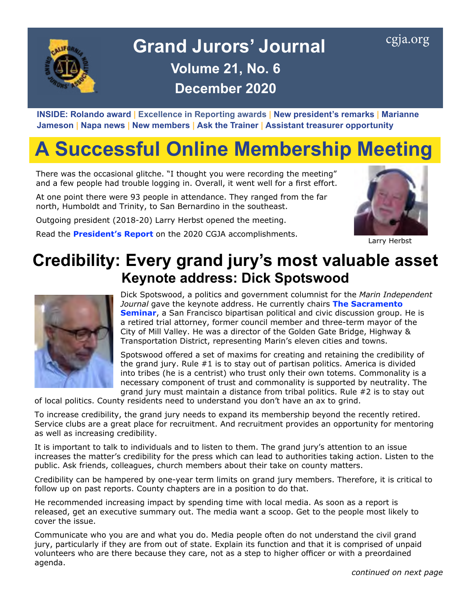<span id="page-0-0"></span>

## Grand Jurors' Journal [cgja.org](http://cgja.org) **Volume 21, No. 6 December 2020**

**INSIDE: [Rolando award](#page-1-0) | [Excellence in Reporting awards](#page-2-0) | [New president's remarks](#page-4-0) | [Marianne](#page-7-0)  [Jameson](#page-7-0) | [Napa news | New members](#page-8-0) | [Ask the Trainer](#page-9-0) | [Assistant treasurer opportunity](#page-10-0)**

# **A Successful Online Membership Meeting**

There was the occasional glitche. "I thought you were recording the meeting" and a few people had trouble logging in. Overall, it went well for a first effort.

At one point there were 93 people in attendance. They ranged from the far north, Humboldt and Trinity, to San Bernardino in the southeast.

Outgoing president (2018-20) Larry Herbst opened the meeting.

Read the **[President's Report](https://www.cgja.org/sites/default/files/presidents_report_2020.pdf)** on the 2020 CGJA accomplishments.



Larry Herbst

## **Credibility: Every grand jury's most valuable asset Keynote address: Dick Spotswood**



Dick Spotswood, a politics and government columnist for the *Marin Independent Journal* gave the keynote address. He currently chairs **[The Sacramento](https://www.sacsem.net/)  [Seminar](https://www.sacsem.net/)**, a San Francisco bipartisan political and civic discussion group. He is a retired trial attorney, former council member and three-term mayor of the City of Mill Valley. He was a director of the Golden Gate Bridge, Highway & Transportation District, representing Marin's eleven cities and towns.

Spotswood offered a set of maxims for creating and retaining the credibility of the grand jury. Rule #1 is to stay out of partisan politics. America is divided into tribes (he is a centrist) who trust only their own totems. Commonality is a necessary component of trust and commonality is supported by neutrality. The grand jury must maintain a distance from tribal politics. Rule #2 is to stay out

of local politics. County residents need to understand you don't have an ax to grind.

To increase credibility, the grand jury needs to expand its membership beyond the recently retired. Service clubs are a great place for recruitment. And recruitment provides an opportunity for mentoring as well as increasing credibility.

It is important to talk to individuals and to listen to them. The grand jury's attention to an issue increases the matter's credibility for the press which can lead to authorities taking action. Listen to the public. Ask friends, colleagues, church members about their take on county matters.

Credibility can be hampered by one-year term limits on grand jury members. Therefore, it is critical to follow up on past reports. County chapters are in a position to do that.

He recommended increasing impact by spending time with local media. As soon as a report is released, get an executive summary out. The media want a scoop. Get to the people most likely to cover the issue.

Communicate who you are and what you do. Media people often do not understand the civil grand jury, particularly if they are from out of state. Explain its function and that it is comprised of unpaid volunteers who are there because they care, not as a step to higher officer or with a preordained agenda.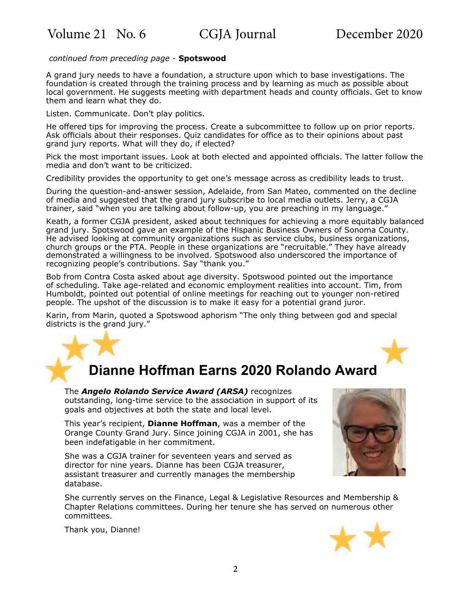#### <span id="page-1-0"></span>*continued from preceding page* - **Spotswood**

A grand jury needs to have a foundation, a structure upon which to base investigations. The foundation is created through the training process and by learning as much as possible about local government. He suggests meeting with department heads and county officials. Get to know them and learn what they do.

Listen. Communicate. Don't play politics.

He offered tips for improving the process. Create a subcommittee to follow up on prior reports. Ask officials about their responses. Quiz candidates for office as to their opinions about past grand jury reports. What will they do, if elected?

Pick the most important issues. Look at both elected and appointed officials. The latter follow the media and don't want to be criticized.

Credibility provides the opportunity to get one's message across as credibility leads to trust.

During the question-and-answer session, Adelaide, from San Mateo, commented on the decline of media and suggested that the grand jury subscribe to local media outlets. Jerry, a CGJA trainer, said "when you are talking about follow-up, you are preaching in my language."

Keath, a former CGJA president, asked about techniques for achieving a more equitably balanced grand jury. Spotswood gave an example of the Hispanic Business Owners of Sonoma County. He advised looking at community organizations such as service clubs, business organizations, church groups or the PTA. People in these organizations are "recruitable." They have already demonstrated a willingness to be involved. Spotswood also underscored the importance of recognizing people's contributions. Say "thank you."

Bob from Contra Costa asked about age diversity. Spotswood pointed out the importance of scheduling. Take age-related and economic employment realities into account. Tim, from Humboldt, pointed out potential of online meetings for reaching out to younger non-retired people. The upshot of the discussion is to make it easy for a potential grand juror.

Karin, from Marin, quoted a Spotswood aphorism "The only thing between god and special districts is the grand jury."

# **Dianne Hoffman Earns 2020 Rolando Award**

The *[Angelo Rolando Service Award \(ARSA\)](https://cgja.org/form/rolando-award-nomination)* recognizes outstanding, long-time service to the association in support of its goals and objectives at both the state and local level.

This year's recipient, **Dianne Hoffman**, was a member of the Orange County Grand Jury. Since joining CGJA in 2001, she has been indefatigable in her commitment.

She was a CGJA trainer for seventeen years and served as director for nine years. Dianne has been CGJA treasurer, assistant treasurer and currently manages the membership database.

She currently serves on the Finance, Legal & Legislative Resources and Membership & Chapter Relations committees. During her tenure she has served on numerous other committees.

Thank you, Dianne!

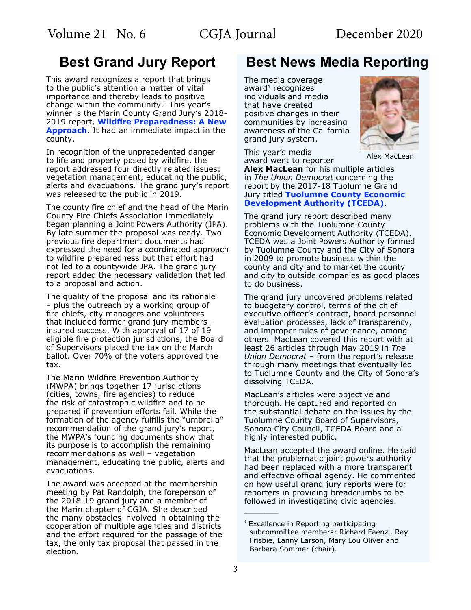This award recognizes a report that brings to the public's attention a matter of vital importance and thereby leads to positive change within the community. $1$  This year's winner is the Marin County Grand Jury's 2018- 2019 report, **[Wildfire Preparedness: A New](https://www.marincounty.org/depts/gj/reports-and-responses/reports-responses/2018-19/wildfire-preparedness-a-new-approach)  [Approach](https://www.marincounty.org/depts/gj/reports-and-responses/reports-responses/2018-19/wildfire-preparedness-a-new-approach)**. It had an immediate impact in the county.

In recognition of the unprecedented danger to life and property posed by wildfire, the report addressed four directly related issues: vegetation management, educating the public, alerts and evacuations. The grand jury's report was released to the public in 2019.

The county fire chief and the head of the Marin County Fire Chiefs Association immediately began planning a Joint Powers Authority (JPA). By late summer the proposal was ready. Two previous fire department documents had expressed the need for a coordinated approach to wildfire preparedness but that effort had not led to a countywide JPA. The grand jury report added the necessary validation that led to a proposal and action.

The quality of the proposal and its rationale – plus the outreach by a working group of fire chiefs, city managers and volunteers that included former grand jury members – insured success. With approval of 17 of 19 eligible fire protection jurisdictions, the Board of Supervisors placed the tax on the March ballot. Over 70% of the voters approved the tax.

The Marin Wildfire Prevention Authority (MWPA) brings together 17 jurisdictions (cities, towns, fire agencies) to reduce the risk of catastrophic wildfire and to be prepared if prevention efforts fail. While the formation of the agency fulfills the "umbrella" recommendation of the grand jury's report, the MWPA's founding documents show that its purpose is to accomplish the remaining recommendations as well – vegetation management, educating the public, alerts and evacuations.

The award was accepted at the membership meeting by Pat Randolph, the foreperson of the 2018-19 grand jury and a member of the Marin chapter of CGJA. She described the many obstacles involved in obtaining the cooperation of multiple agencies and districts and the effort required for the passage of the tax, the only tax proposal that passed in the election.

### <span id="page-2-0"></span>**Best Grand Jury Report Best News Media Reporting**

The media coverage  $a$ ward<sup>1</sup> recognizes individuals and media that have created positive changes in their communities by increasing awareness of the California grand jury system.





Alex MacLean

**Alex MacLean** for his multiple articles in *The Union Democrat* concerning the report by the 2017-18 Tuolumne Grand Jury titled **[Tuolumne County Economic](https://www.tuolumnecounty.ca.gov/DocumentCenter/View/10852/GRAND_JURY_FINAL_REPORT-2017-2018)  [Development Authority \(TCEDA\)](https://www.tuolumnecounty.ca.gov/DocumentCenter/View/10852/GRAND_JURY_FINAL_REPORT-2017-2018)**.

The grand jury report described many problems with the Tuolumne County Economic Development Authority (TCEDA). TCEDA was a Joint Powers Authority formed by Tuolumne County and the City of Sonora in 2009 to promote business within the county and city and to market the county and city to outside companies as good places to do business.

The grand jury uncovered problems related to budgetary control, terms of the chief executive officer's contract, board personnel evaluation processes, lack of transparency, and improper rules of governance, among others. MacLean covered this report with at least 26 articles through May 2019 in *The Union Democrat* – from the report's release through many meetings that eventually led to Tuolumne County and the City of Sonora's dissolving TCEDA.

MacLean's articles were objective and thorough. He captured and reported on the substantial debate on the issues by the Tuolumne County Board of Supervisors, Sonora City Council, TCEDA Board and a highly interested public.

MacLean accepted the award online. He said that the problematic joint powers authority had been replaced with a more transparent and effective official agency. He commented on how useful grand jury reports were for reporters in providing breadcrumbs to be followed in investigating civic agencies.

\_\_\_\_\_\_\_

 $1$  Excellence in Reporting participating subcommittee members: Richard Faenzi, Ray Frisbie, Lanny Larson, Mary Lou Oliver and Barbara Sommer (chair).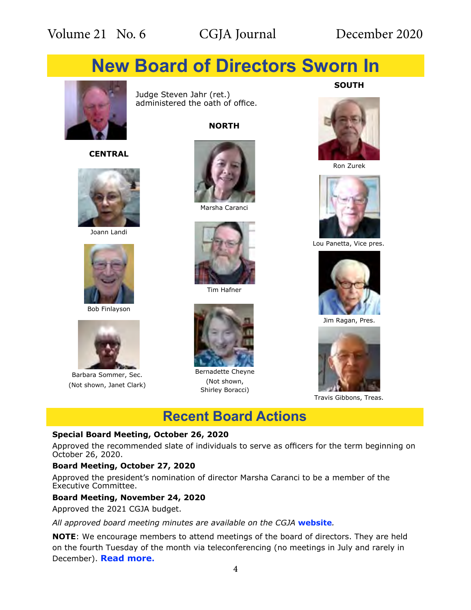# **New Board of Directors Sworn In**



#### **CENTRAL**



Joann Landi



Bob Finlayson



Barbara Sommer, Sec. (Not shown, Janet Clark)

Judge Steven Jahr (ret.) administered the oath of office.

#### **NORTH**



Marsha Caranci



Tim Hafner



Bernadette Cheyne (Not shown, Shirley Boracci)

**SOUTH**



Ron Zurek



Lou Panetta, Vice pres.



Jim Ragan, Pres.



Travis Gibbons, Treas.

### **Recent Board Actions**

#### **Special Board Meeting, October 26, 2020**

Approved the recommended slate of individuals to serve as officers for the term beginning on October 26, 2020.

#### **Board Meeting, October 27, 2020**

Approved the president's nomination of director Marsha Caranci to be a member of the Executive Committee.

#### **Board Meeting, November 24, 2020**

Approved the 2021 CGJA budget.

#### *All approved board meeting minutes are available on the CGJA* **[website](https://cgja.org/board-minutes)***.*

**NOTE**: We encourage members to attend meetings of the board of directors. They are held on the fourth Tuesday of the month via teleconferencing (no meetings in July and rarely in December). **[Read more](https://cgja.org/current-agenda).**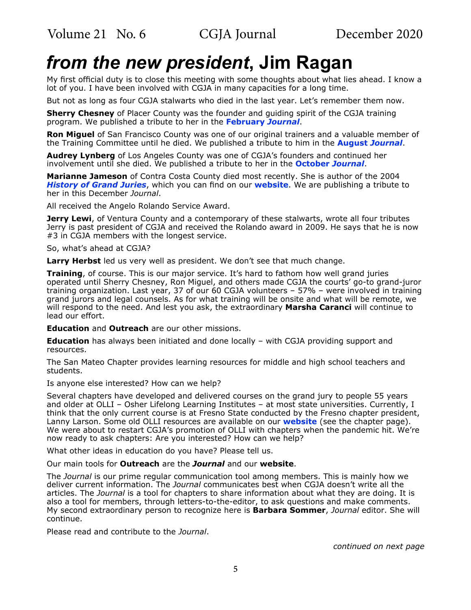<span id="page-4-0"></span>[Volume 21 No. 6](#page-0-0) CGJA Journal December 2020

# *from the new president***, Jim Ragan**

My first official duty is to close this meeting with some thoughts about what lies ahead. I know a lot of you. I have been involved with CGJA in many capacities for a long time.

But not as long as four CGJA stalwarts who died in the last year. Let's remember them now.

**Sherry Chesney** of Placer County was the founder and guiding spirit of the CGJA training program. We published a tribute to her in the **[February](https://cgja.org/sites/default/files/cgjajournalfeb2020.pdf)** *Journal*.

**Ron Miguel** of San Francisco County was one of our original trainers and a valuable member of the Training Committee until he died. We published a tribute to him in the **[August](https://cgja.org/sites/default/files/cgjajournalaug2020.pdf)** *Journal*.

**Audrey Lynberg** of Los Angeles County was one of CGJA's founders and continued her involvement until she died. We published a tribute to her in the **[October](https://cgja.org/sites/default/files/cgjajournaloct2020r.pdf)** *Journal*.

**Marianne Jameson** of Contra Costa County died most recently. She is author of the 2004 *[History of Grand Juries](https://cgja.org/history-of-grand-juries)*, which you can find on our **[website](https://cgja.org/history-of-grand-juries)**. We are publishing a tribute to her in this December *Journal*.

All received the Angelo Rolando Service Award.

**Jerry Lewi**, of Ventura County and a contemporary of these stalwarts, wrote all four tributes Jerry is past president of CGJA and received the Rolando award in 2009. He says that he is now #3 in CGJA members with the longest service.

So, what's ahead at CGJA?

**Larry Herbst** led us very well as president. We don't see that much change.

**Training**, of course. This is our major service. It's hard to fathom how well grand juries operated until Sherry Chesney, Ron Miguel, and others made CGJA the courts' go-to grand-juror training organization. Last year, 37 of our 60 CGJA volunteers – 57% – were involved in training grand jurors and legal counsels. As for what training will be onsite and what will be remote, we will respond to the need. And lest you ask, the extraordinary **Marsha Caranci** will continue to lead our effort.

**Education** and **Outreach** are our other missions.

**Education** has always been initiated and done locally – with CGJA providing support and resources.

The San Mateo Chapter provides learning resources for middle and high school teachers and students.

Is anyone else interested? How can we help?

Several chapters have developed and delivered courses on the grand jury to people 55 years and older at OLLI – Osher Lifelong Learning Institutes – at most state universities. Currently, I think that the only current course is at Fresno State conducted by the Fresno chapter president, Lanny Larson. Some old OLLI resources are available on our **[website](https://cgja.org/osher-courses)** (see the chapter page). We were about to restart CGJA's promotion of OLLI with chapters when the pandemic hit. We're now ready to ask chapters: Are you interested? How can we help?

What other ideas in education do you have? Please tell us.

Our main tools for **Outreach** are the *Journal* and our **website**.

The *Journal* is our prime regular communication tool among members. This is mainly how we deliver current information. The *Journal* communicates best when CGJA doesn't write all the articles. The *Journal* is a tool for chapters to share information about what they are doing. It is also a tool for members, through letters-to-the-editor, to ask questions and make comments. My second extraordinary person to recognize here is **Barbara Sommer**, *Journal* editor. She will continue.

Please read and contribute to the *Journal*.

*continued on next page*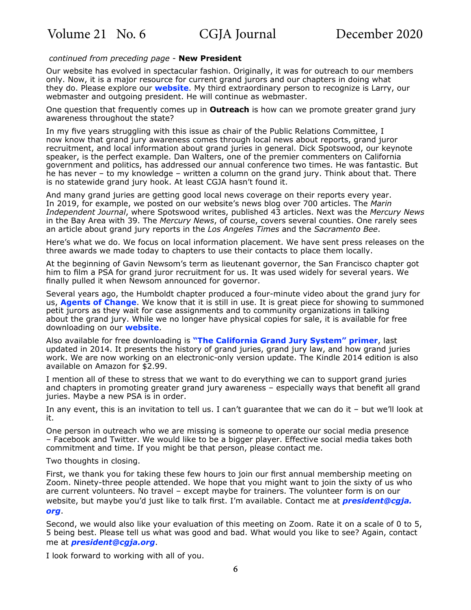[Volume 21 No. 6](#page-0-0) CGJA Journal December 2020

#### *continued from preceding page* - **New President**

Our website has evolved in spectacular fashion. Originally, it was for outreach to our members only. Now, it is a major resource for current grand jurors and our chapters in doing what they do. Please explore our **[website](https://cgja.org/)**. My third extraordinary person to recognize is Larry, our webmaster and outgoing president. He will continue as webmaster.

One question that frequently comes up in **Outreach** is how can we promote greater grand jury awareness throughout the state?

In my five years struggling with this issue as chair of the Public Relations Committee, I now know that grand jury awareness comes through local news about reports, grand juror recruitment, and local information about grand juries in general. Dick Spotswood, our keynote speaker, is the perfect example. Dan Walters, one of the premier commenters on California government and politics, has addressed our annual conference two times. He was fantastic. But he has never – to my knowledge – written a column on the grand jury. Think about that. There is no statewide grand jury hook. At least CGJA hasn't found it.

And many grand juries are getting good local news coverage on their reports every year. In 2019, for example, we posted on our website's news blog over 700 articles. The *Marin Independent Journal*, where Spotswood writes, published 43 articles. Next was the *Mercury News*  in the Bay Area with 39. The *Mercury News*, of course, covers several counties. One rarely sees an article about grand jury reports in the *Los Angeles Times* and the *Sacramento Bee*.

Here's what we do. We focus on local information placement. We have sent press releases on the three awards we made today to chapters to use their contacts to place them locally.

At the beginning of Gavin Newsom's term as lieutenant governor, the San Francisco chapter got him to film a PSA for grand juror recruitment for us. It was used widely for several years. We finally pulled it when Newsom announced for governor.

Several years ago, the Humboldt chapter produced a four-minute video about the grand jury for us, **[Agents of Change](https://cgja.org/agents-of-change)**. We know that it is still in use. It is great piece for showing to summoned petit jurors as they wait for case assignments and to community organizations in talking about the grand jury. While we no longer have physical copies for sale, it is available for free downloading on our **[website](https://cgja.org/agents-of-change)**.

Also available for free downloading is **["The California Grand Jury System" primer](https://cgja.org/california-grand-jury-system-primer)**, last updated in 2014. It presents the history of grand juries, grand jury law, and how grand juries work. We are now working on an electronic-only version update. The Kindle 2014 edition is also available on Amazon for \$2.99.

I mention all of these to stress that we want to do everything we can to support grand juries and chapters in promoting greater grand jury awareness – especially ways that benefit all grand juries. Maybe a new PSA is in order.

In any event, this is an invitation to tell us. I can't guarantee that we can do it – but we'll look at it.

One person in outreach who we are missing is someone to operate our social media presence – Facebook and Twitter. We would like to be a bigger player. Effective social media takes both commitment and time. If you might be that person, please contact me.

Two thoughts in closing.

First, we thank you for taking these few hours to join our first annual membership meeting on Zoom. Ninety-three people attended. We hope that you might want to join the sixty of us who are current volunteers. No travel – except maybe for trainers. The volunteer form is on our website, but maybe you'd just like to talk first. I'm available. Contact me at *[president@cgja.](mailto:president%40cgja.org?subject=President%27s%20query) [org](mailto:president%40cgja.org?subject=President%27s%20query)*.

Second, we would also like your evaluation of this meeting on Zoom. Rate it on a scale of 0 to 5, 5 being best. Please tell us what was good and bad. What would you like to see? Again, contact me at *[president@cgja.org](mailto:president%40cgja.org?subject=President%27s%20query)*.

I look forward to working with all of you.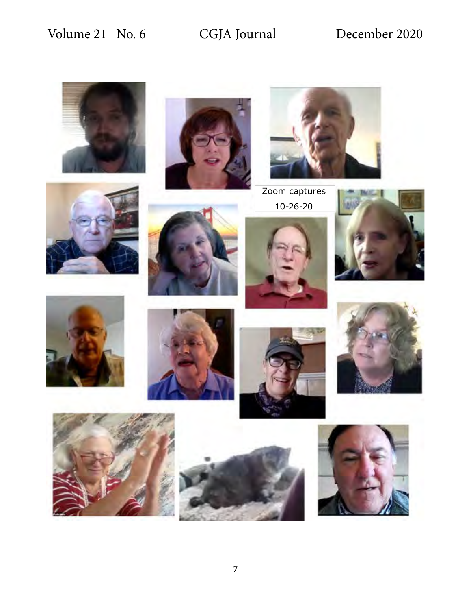





Zoom captures 10-26-20



















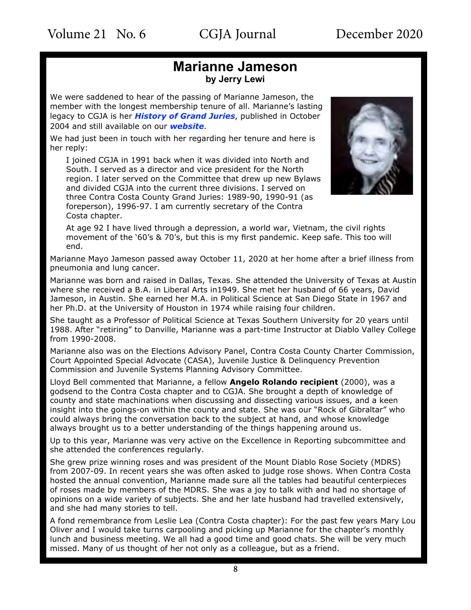### **Marianne Jameson by Jerry Lewi**

<span id="page-7-0"></span>We were saddened to hear of the passing of Marianne Jameson, the member with the longest membership tenure of all. Marianne's lasting legacy to CGJA is her *[History of Grand Juries](https://cgja.org/history-of-grand-juries)*, published in October 2004 and still available on our *[website](https://cgja.org/history-of-grand-juries)*.

We had just been in touch with her regarding her tenure and here is her reply:

I joined CGJA in 1991 back when it was divided into North and South. I served as a director and vice president for the North region. I later served on the Committee that drew up new Bylaws and divided CGJA into the current three divisions. I served on three Contra Costa County Grand Juries: 1989-90, 1990-91 (as foreperson), 1996-97. I am currently secretary of the Contra Costa chapter.



At age 92 I have lived through a depression, a world war, Vietnam, the civil rights movement of the '60's & 70's, but this is my first pandemic. Keep safe. This too will end.

Marianne Mayo Jameson passed away October 11, 2020 at her home after a brief illness from pneumonia and lung cancer.

Marianne was born and raised in Dallas, Texas. She attended the University of Texas at Austin where she received a B.A. in Liberal Arts in1949. She met her husband of 66 years, David Jameson, in Austin. She earned her M.A. in Political Science at San Diego State in 1967 and her Ph.D. at the University of Houston in 1974 while raising four children.

She taught as a Professor of Political Science at Texas Southern University for 20 years until 1988. After "retiring" to Danville, Marianne was a part-time Instructor at Diablo Valley College from 1990-2008.

Marianne also was on the Elections Advisory Panel, Contra Costa County Charter Commission, Court Appointed Special Advocate (CASA), Juvenile Justice & Delinquency Prevention Commission and Juvenile Systems Planning Advisory Committee.

Lloyd Bell commented that Marianne, a fellow **Angelo Rolando recipient** (2000), was a godsend to the Contra Costa chapter and to CGJA. She brought a depth of knowledge of county and state machinations when discussing and dissecting various issues, and a keen insight into the goings-on within the county and state. She was our "Rock of Gibraltar" who could always bring the conversation back to the subject at hand, and whose knowledge always brought us to a better understanding of the things happening around us.

Up to this year, Marianne was very active on the Excellence in Reporting subcommittee and she attended the conferences regularly.

She grew prize winning roses and was president of the Mount Diablo Rose Society (MDRS) from 2007-09. In recent years she was often asked to judge rose shows. When Contra Costa hosted the annual convention, Marianne made sure all the tables had beautiful centerpieces of roses made by members of the MDRS. She was a joy to talk with and had no shortage of opinions on a wide variety of subjects. She and her late husband had travelled extensively, and she had many stories to tell.

A fond remembrance from Leslie Lea (Contra Costa chapter): For the past few years Mary Lou Oliver and I would take turns carpooling and picking up Marianne for the chapter's monthly lunch and business meeting. We all had a good time and good chats. She will be very much missed. Many of us thought of her not only as a colleague, but as a friend.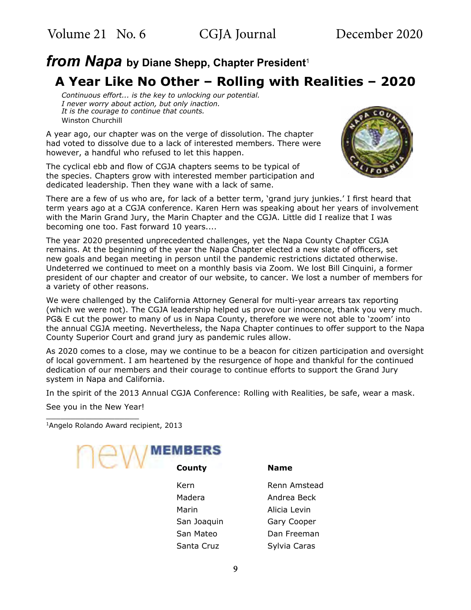### <span id="page-8-0"></span>*from Napa* **by Diane Shepp, Chapter President**<sup>1</sup> **A Year Like No Other – Rolling with Realities – 2020**

*Continuous effort... is the key to unlocking our potential. I never worry about action, but only inaction. It is the courage to continue that counts.*  Winston Churchill

A year ago, our chapter was on the verge of dissolution. The chapter had voted to dissolve due to a lack of interested members. There were however, a handful who refused to let this happen.

The cyclical ebb and flow of CGJA chapters seems to be typical of the species. Chapters grow with interested member participation and dedicated leadership. Then they wane with a lack of same.



There are a few of us who are, for lack of a better term, 'grand jury junkies.' I first heard that term years ago at a CGJA conference. Karen Hern was speaking about her years of involvement with the Marin Grand Jury, the Marin Chapter and the CGJA. Little did I realize that I was becoming one too. Fast forward 10 years....

The year 2020 presented unprecedented challenges, yet the Napa County Chapter CGJA remains. At the beginning of the year the Napa Chapter elected a new slate of officers, set new goals and began meeting in person until the pandemic restrictions dictated otherwise. Undeterred we continued to meet on a monthly basis via Zoom. We lost Bill Cinquini, a former president of our chapter and creator of our website, to cancer. We lost a number of members for a variety of other reasons.

We were challenged by the California Attorney General for multi-year arrears tax reporting (which we were not). The CGJA leadership helped us prove our innocence, thank you very much. PG& E cut the power to many of us in Napa County, therefore we were not able to 'zoom' into the annual CGJA meeting. Nevertheless, the Napa Chapter continues to offer support to the Napa County Superior Court and grand jury as pandemic rules allow.

As 2020 comes to a close, may we continue to be a beacon for citizen participation and oversight of local government. I am heartened by the resurgence of hope and thankful for the continued dedication of our members and their courage to continue efforts to support the Grand Jury system in Napa and California.

In the spirit of the 2013 Annual CGJA Conference: Rolling with Realities, be safe, wear a mask.

See you in the New Year! \_\_\_\_\_\_\_\_\_\_\_\_\_\_\_\_\_\_\_

1Angelo Rolando Award recipient, 2013



**County Name**

Kern **Renn Amstead** Madera **Andrea Beck** Marin **Alicia Levin** San Joaquin Gary Cooper San Mateo **Dan Freeman** Santa Cruz Sylvia Caras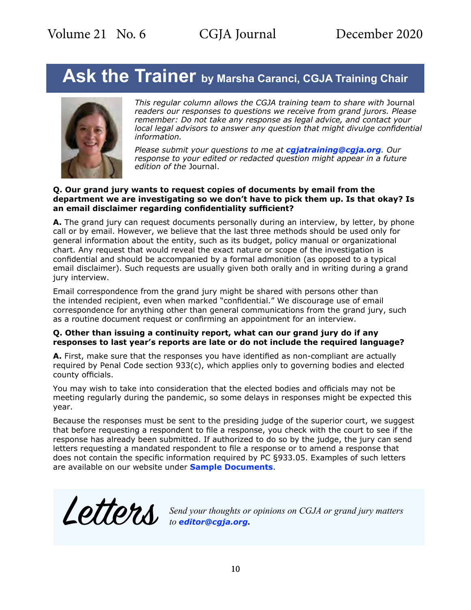## <span id="page-9-0"></span>Ask the Trainer by Marsha Caranci, CGJA Training Chair



*This regular column allows the CGJA training team to share with* Journal *readers our responses to questions we receive from grand jurors. Please remember: Do not take any response as legal advice, and contact your local legal advisors to answer any question that might divulge confidential information.* 

*Please submit your questions to me at [cgjatraining@cgja.org](mailto:cgjatraining%40cgja.org?subject=CGJA%20Training). Our response to your edited or redacted question might appear in a future edition of the* Journal.

#### **Q. Our grand jury wants to request copies of documents by email from the department we are investigating so we don't have to pick them up. Is that okay? Is an email disclaimer regarding confidentiality sufficient?**

**A.** The grand jury can request documents personally during an interview, by letter, by phone call or by email. However, we believe that the last three methods should be used only for general information about the entity, such as its budget, policy manual or organizational chart. Any request that would reveal the exact nature or scope of the investigation is confidential and should be accompanied by a formal admonition (as opposed to a typical email disclaimer). Such requests are usually given both orally and in writing during a grand jury interview.

Email correspondence from the grand jury might be shared with persons other than the intended recipient, even when marked "confidential." We discourage use of email correspondence for anything other than general communications from the grand jury, such as a routine document request or confirming an appointment for an interview.

#### **Q. Other than issuing a continuity report, what can our grand jury do if any responses to last year's reports are late or do not include the required language?**

**A.** First, make sure that the responses you have identified as non-compliant are actually required by Penal Code section 933(c), which applies only to governing bodies and elected county officials.

You may wish to take into consideration that the elected bodies and officials may not be meeting regularly during the pandemic, so some delays in responses might be expected this year.

Because the responses must be sent to the presiding judge of the superior court, we suggest that before requesting a respondent to file a response, you check with the court to see if the response has already been submitted. If authorized to do so by the judge, the jury can send letters requesting a mandated respondent to file a response or to amend a response that does not contain the specific information required by PC §933.05. Examples of such letters are available on our website under **[Sample Documents](https://cgja.org/sample-documents)**.



Letters *Send your thoughts or opinions on CGJA or grand jury matters to [editor@cgja.org](mailto:editor%40cgja.org?subject=)***.**